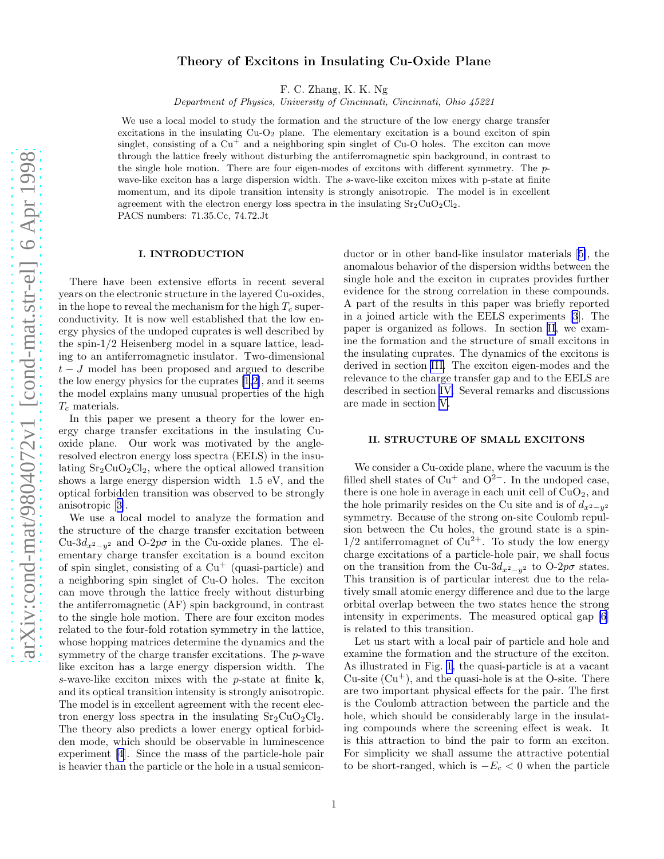# Theory of Excitons in Insulating Cu-Oxide Plane

F. C. Zhang, K. K. Ng

Department of Physics, University of Cincinnati, Cincinnati, Ohio 45221

We use a local model to study the formation and the structure of the low energy charge transfer excitations in the insulating  $Cu-O<sub>2</sub>$  plane. The elementary excitation is a bound exciton of spin singlet, consisting of a  $Cu<sup>+</sup>$  and a neighboring spin singlet of Cu-O holes. The exciton can move through the lattice freely without disturbing the antiferromagnetic spin background, in contrast to the single hole motion. There are four eigen-modes of excitons with different symmetry. The pwave-like exciton has a large dispersion width. The s-wave-like exciton mixes with p-state at finite momentum, and its dipole transition intensity is strongly anisotropic. The model is in excellent agreement with the electron energy loss spectra in the insulating  $Sr_2CuO_2Cl_2$ . PACS numbers: 71.35.Cc, 74.72.Jt

#### I. INTRODUCTION

There have been extensive efforts in recent several years on the electronic structure in the layered Cu-oxides, in the hope to reveal the mechanism for the high  $T_c$  superconductivity. It is now well established that the low energy physics of the undoped cuprates is well described by the spin-1/2 Heisenberg model in a square lattice, leading to an antiferromagnetic insulator. Two-dimensional  $t - J$  model has been proposed and argued to describe the low energy physics for the cuprates [\[1,2](#page-3-0)], and it seems the model explains many unusual properties of the high  $T_c$  materials.

In this paper we present a theory for the lower energy charge transfer excitations in the insulating Cuoxide plane. Our work was motivated by the angleresolved electron energy loss spectra (EELS) in the insulating  $Sr_2CuO_2Cl_2$ , where the optical allowed transition shows a large energy dispersion width 1.5 eV, and the optical forbidden transition was observed to be strongly anisotropic[[3\]](#page-3-0).

We use a local model to analyze the formation and the structure of the charge transfer excitation between Cu-3d<sub>x2</sub><sub>-y</sub><sub>2</sub> and O-2p $\sigma$  in the Cu-oxide planes. The elementary charge transfer excitation is a bound exciton of spin singlet, consisting of a  $Cu<sup>+</sup>$  (quasi-particle) and a neighboring spin singlet of Cu-O holes. The exciton can move through the lattice freely without disturbing the antiferromagnetic (AF) spin background, in contrast to the single hole motion. There are four exciton modes related to the four-fold rotation symmetry in the lattice, whose hopping matrices determine the dynamics and the symmetry of the charge transfer excitations. The p-wave like exciton has a large energy dispersion width. The s-wave-like exciton mixes with the  $p$ -state at finite  $\mathbf{k}$ , and its optical transition intensity is strongly anisotropic. The model is in excellent agreement with the recent electron energy loss spectra in the insulating  $Sr<sub>2</sub>C<sub>u</sub>O<sub>2</sub>Cl<sub>2</sub>$ . The theory also predicts a lower energy optical forbidden mode, which should be observable in luminescence experiment [\[4](#page-3-0)]. Since the mass of the particle-hole pair is heavier than the particle or the hole in a usual semiconductor or in other band-like insulator materials[[5\]](#page-3-0), the anomalous behavior of the dispersion widths between the single hole and the exciton in cuprates provides further evidence for the strong correlation in these compounds. A part of the results in this paper was briefly reported in a joined article with the EELS experiments [\[3](#page-3-0)]. The paper is organized as follows. In section II, we examine the formation and the structure of small excitons in the insulating cuprates. The dynamics of the excitons is derived in section [III.](#page-1-0) The exciton eigen-modes and the relevance to the charge transfer gap and to the EELS are described in section [IV.](#page-2-0) Several remarks and discussions are made in section [V.](#page-3-0)

#### II. STRUCTURE OF SMALL EXCITONS

We consider a Cu-oxide plane, where the vacuum is the filled shell states of  $Cu<sup>+</sup>$  and  $O<sup>2-</sup>$ . In the undoped case, there is one hole in average in each unit cell of  $CuO<sub>2</sub>$ , and the hole primarily resides on the Cu site and is of  $d_{x^2-y^2}$ symmetry. Because of the strong on-site Coulomb repulsion between the Cu holes, the ground state is a spin- $1/2$  antiferromagnet of  $Cu^{2+}$ . To study the low energy charge excitations of a particle-hole pair, we shall focus on the transition from the Cu-3 $d_{x^2-y^2}$  to O-2 $p\sigma$  states. This transition is of particular interest due to the relatively small atomic energy difference and due to the large orbital overlap between the two states hence the strong intensity in experiments. The measured optical gap [\[6](#page-3-0)] is related to this transition.

Let us start with a local pair of particle and hole and examine the formation and the structure of the exciton. As illustrated in Fig. [1](#page-4-0), the quasi-particle is at a vacant  $Cu$ -site  $(Cu<sup>+</sup>)$ , and the quasi-hole is at the O-site. There are two important physical effects for the pair. The first is the Coulomb attraction between the particle and the hole, which should be considerably large in the insulating compounds where the screening effect is weak. It is this attraction to bind the pair to form an exciton. For simplicity we shall assume the attractive potential to be short-ranged, which is  $-E_c < 0$  when the particle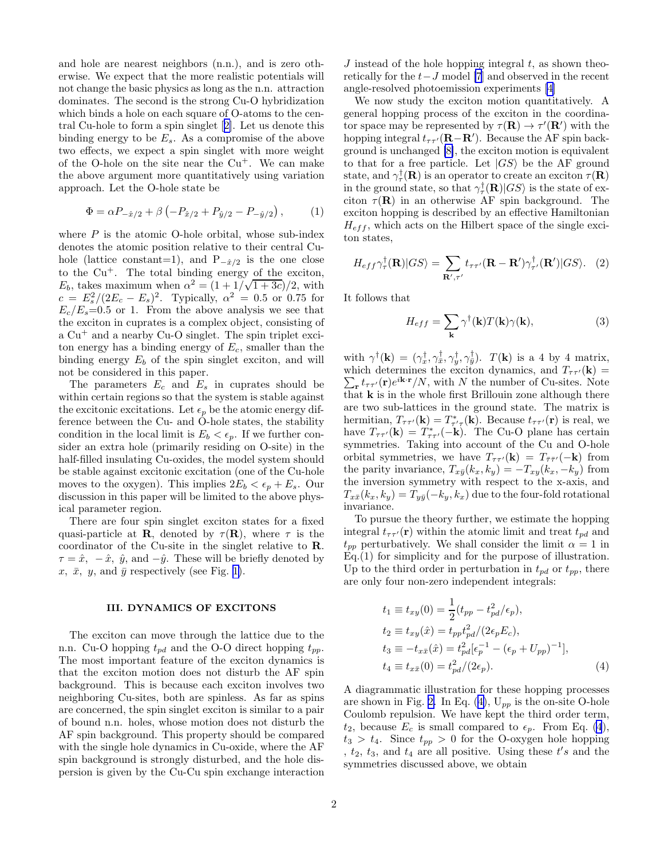<span id="page-1-0"></span>and hole are nearest neighbors (n.n.), and is zero otherwise. We expect that the more realistic potentials will not change the basic physics as long as the n.n. attraction dominates. The second is the strong Cu-O hybridization which binds a hole on each square of O-atoms to the central Cu-hole to form a spin singlet[[2\]](#page-3-0). Let us denote this binding energy to be  $E_s$ . As a compromise of the above two effects, we expect a spin singlet with more weight of the O-hole on the site near the  $Cu<sup>+</sup>$ . We can make the above argument more quantitatively using variation approach. Let the O-hole state be

$$
\Phi = \alpha P_{-\hat{x}/2} + \beta \left( -P_{\hat{x}/2} + P_{\hat{y}/2} - P_{-\hat{y}/2} \right), \tag{1}
$$

where  $P$  is the atomic O-hole orbital, whose sub-index denotes the atomic position relative to their central Cuhole (lattice constant=1), and  $P_{-\hat{x}/2}$  is the one close to the  $Cu<sup>+</sup>$ . The total binding energy of the exciton,  $E_b$ , takes maximum when  $\alpha^2 = (1 + 1/\sqrt{1+3c})/2$ , with  $c = E_s^2/(2E_c - E_s)^2$ . Typically,  $\alpha^2 = 0.5$  or 0.75 for  $E_c/E_s=0.5$  or 1. From the above analysis we see that the exciton in cuprates is a complex object, consisting of a  $Cu<sup>+</sup>$  and a nearby  $Cu-O$  singlet. The spin triplet exciton energy has a binding energy of  $E_c$ , smaller than the binding energy  $E_b$  of the spin singlet exciton, and will not be considered in this paper.

The parameters  $E_c$  and  $E_s$  in cuprates should be within certain regions so that the system is stable against the excitonic excitations. Let  $\epsilon_p$  be the atomic energy difference between the Cu- and O-hole states, the stability condition in the local limit is  $E_b < \epsilon_p$ . If we further consider an extra hole (primarily residing on O-site) in the half-filled insulating Cu-oxides, the model system should be stable against excitonic excitation (one of the Cu-hole moves to the oxygen). This implies  $2E_b < \epsilon_p + E_s$ . Our discussion in this paper will be limited to the above physical parameter region.

There are four spin singlet exciton states for a fixed quasi-particle at **R**, denoted by  $\tau(\mathbf{R})$ , where  $\tau$  is the coordinator of the Cu-site in the singlet relative to R.  $\tau = \hat{x}, -\hat{x}, \hat{y}, \text{and } -\hat{y}$ . These will be briefly denoted by x,  $\bar{x}$ , y, and  $\bar{y}$  respectively (see Fig. [1\)](#page-4-0).

### III. DYNAMICS OF EXCITONS

The exciton can move through the lattice due to the n.n. Cu-O hopping  $t_{pd}$  and the O-O direct hopping  $t_{pp}$ . The most important feature of the exciton dynamics is that the exciton motion does not disturb the AF spin background. This is because each exciton involves two neighboring Cu-sites, both are spinless. As far as spins are concerned, the spin singlet exciton is similar to a pair of bound n.n. holes, whose motion does not disturb the AF spin background. This property should be compared with the single hole dynamics in Cu-oxide, where the AF spin background is strongly disturbed, and the hole dispersion is given by the Cu-Cu spin exchange interaction

We now study the exciton motion quantitatively. A general hopping process of the exciton in the coordinafor space may be represented by  $\tau(\mathbf{R}) \to \tau'(\mathbf{R}')$  with the hopping integral  $t_{\tau \tau'}(\mathbf{R} - \mathbf{R}')$ . Because the AF spin background is unchanged [\[8\]](#page-3-0), the exciton motion is equivalent to that for a free particle. Let  $|GS\rangle$  be the AF ground state, and  $\gamma_{\tau}^{\dagger}(\mathbf{R})$  is an operator to create an exciton  $\tau(\mathbf{R})$ in the ground state, so that  $\gamma_\tau^{\dagger}(\mathbf{R})|GS\rangle$  is the state of exciton  $\tau(\mathbf{R})$  in an otherwise AF spin background. The exciton hopping is described by an effective Hamiltonian  $H_{eff}$ , which acts on the Hilbert space of the single exciton states,

$$
H_{eff}\gamma_{\tau}^{\dagger}(\mathbf{R})|GS\rangle = \sum_{\mathbf{R}',\tau'} t_{\tau\tau'}(\mathbf{R}-\mathbf{R}')\gamma_{\tau'}^{\dagger}(\mathbf{R}')|GS\rangle.
$$
 (2)

It follows that

$$
H_{eff} = \sum_{\mathbf{k}} \gamma^{\dagger}(\mathbf{k}) T(\mathbf{k}) \gamma(\mathbf{k}), \tag{3}
$$

with  $\gamma^{\dagger}(\mathbf{k}) = (\gamma_x^{\dagger}, \gamma_y^{\dagger}, \gamma_y^{\dagger}, \gamma_y^{\dagger})$ .  $T(\mathbf{k})$  is a 4 by 4 matrix, which determines the exciton dynamics, and  $T_{\tau \tau'}(\mathbf{k}) = \sum_{\mathbf{r}} t_{\tau \tau'}(\mathbf{r}) e^{i\mathbf{k} \cdot \mathbf{r}} / N$ , with N the number of Cu-sites. Note  $r_{\mathbf{r}} t_{\tau \tau'}(\mathbf{r}) e^{i\mathbf{k}\cdot\mathbf{r}}/N$ , with N the number of Cu-sites. Note that  $k$  is in the whole first Brillouin zone although there are two sub-lattices in the ground state. The matrix is hermitian,  $T_{\tau \tau'}(\mathbf{k}) = T_{\tau' \tau}^*(\mathbf{k})$ . Because  $t_{\tau \tau'}(\mathbf{r})$  is real, we have  $T_{\tau \tau'}({\bf k}) = T_{\tau \tau'}^*(-{\bf k})$ . The Cu-O plane has certain symmetries. Taking into account of the Cu and O-hole orbital symmetries, we have  $T_{\tau \tau'}({\bf k}) = T_{\bar{\tau} \bar{\tau}'}(-{\bf k})$  from the parity invariance,  $T_{x\bar{y}}(k_x, k_y) = -T_{xy}(k_x, -k_y)$  from the inversion symmetry with respect to the x-axis, and  $T_{x\bar{x}}(k_x, k_y) = T_{y\bar{y}}(-k_y, k_x)$  due to the four-fold rotational invariance.

To pursue the theory further, we estimate the hopping integral  $t_{\tau\tau'}(\mathbf{r})$  within the atomic limit and treat  $t_{pd}$  and  $t_{pp}$  perturbatively. We shall consider the limit  $\alpha = 1$  in Eq.(1) for simplicity and for the purpose of illustration. Up to the third order in perturbation in  $t_{pd}$  or  $t_{pp}$ , there are only four non-zero independent integrals:

$$
t_1 \equiv t_{xy}(0) = \frac{1}{2}(t_{pp} - t_{pd}^2/\epsilon_p),
$$
  
\n
$$
t_2 \equiv t_{xy}(\hat{x}) = t_{pp}t_{pd}^2/(2\epsilon_p E_c),
$$
  
\n
$$
t_3 \equiv -t_{x\bar{x}}(\hat{x}) = t_{pd}^2[\epsilon_p^{-1} - (\epsilon_p + U_{pp})^{-1}],
$$
  
\n
$$
t_4 \equiv t_{x\bar{x}}(0) = t_{pd}^2/(2\epsilon_p).
$$
\n(4)

A diagrammatic illustration for these hopping processes are shown in Fig. [2.](#page-4-0) In Eq. (4),  $U_{pp}$  is the on-site O-hole Coulomb repulsion. We have kept the third order term,  $t_2$ , because  $E_c$  is small compared to  $\epsilon_p$ . From Eq. (4),  $t_3 > t_4$ . Since  $t_{pp} > 0$  for the O-oxygen hole hopping ,  $t_2$ ,  $t_3$ , and  $t_4$  are all positive. Using these  $t's$  and the symmetries discussed above, we obtain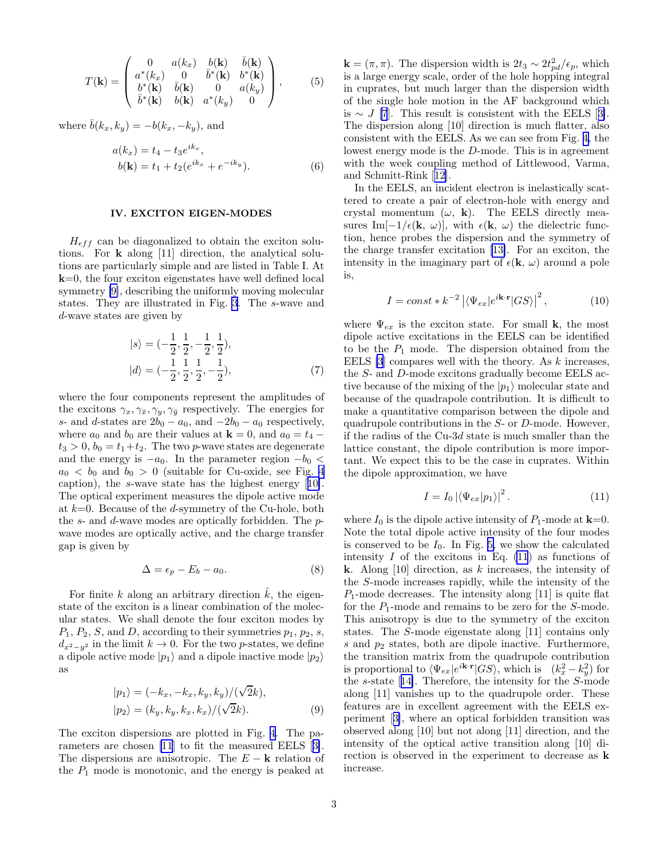<span id="page-2-0"></span>
$$
T(\mathbf{k}) = \begin{pmatrix} 0 & a(k_x) & b(\mathbf{k}) & \bar{b}(\mathbf{k}) \\ a^*(k_x) & 0 & \bar{b}^*(\mathbf{k}) & b^*(\mathbf{k}) \\ b^*(\mathbf{k}) & \bar{b}(\mathbf{k}) & 0 & a(k_y) \\ \bar{b}^*(\mathbf{k}) & b(\mathbf{k}) & a^*(k_y) & 0 \end{pmatrix}, \quad (5)
$$

where  $\bar{b}(k_x, k_y) = -b(k_x, -k_y)$ , and

$$
a(k_x) = t_4 - t_3 e^{ik_x},
$$
  
\n
$$
b(\mathbf{k}) = t_1 + t_2 (e^{ik_x} + e^{-ik_y}).
$$
\n(6)

## IV. EXCITON EIGEN-MODES

 $H_{eff}$  can be diagonalized to obtain the exciton solutions. For k along [11] direction, the analytical solutions are particularly simple and are listed in Table I. At  $k=0$ , the four exciton eigenstates have well defined local symmetry [\[9\]](#page-3-0), describing the uniformly moving molecular states. They are illustrated in Fig. [3](#page-4-0). The s-wave and d-wave states are given by

$$
|s\rangle = (-\frac{1}{2}, \frac{1}{2}, -\frac{1}{2}, \frac{1}{2}),
$$
  

$$
|d\rangle = (-\frac{1}{2}, \frac{1}{2}, \frac{1}{2}, -\frac{1}{2}),
$$
 (7)

where the four components represent the amplitudes of the excitons  $\gamma_x, \gamma_{\bar{x}}, \gamma_y, \gamma_{\bar{y}}$  respectively. The energies for s- and d-states are  $2b_0 - a_0$ , and  $-2b_0 - a_0$  respectively, where  $a_0$  and  $b_0$  are their values at  $\mathbf{k} = 0$ , and  $a_0 = t_4$  –  $t_3 > 0, b_0 = t_1+t_2$ . The two *p*-wave states are degenerate and the energy is  $-a_0$ . In the parameter region  $-b_0 <$  $a_0 < b_0$  and  $b_0 > 0$  (suitable for Cu-oxide, see Fig. [4](#page-4-0) caption), the s-wave state has the highest energy[[10\]](#page-3-0). The optical experiment measures the dipole active mode at  $k=0$ . Because of the d-symmetry of the Cu-hole, both the s- and d-wave modes are optically forbidden. The pwave modes are optically active, and the charge transfer gap is given by

$$
\Delta = \epsilon_p - E_b - a_0. \tag{8}
$$

For finite k along an arbitrary direction  $k$ , the eigenstate of the exciton is a linear combination of the molecular states. We shall denote the four exciton modes by  $P_1, P_2, S$ , and D, according to their symmetries  $p_1, p_2, s$ ,  $d_{x^2-y^2}$  in the limit  $k\to 0$ . For the two p-states, we define a dipole active mode  $|p_1\rangle$  and a dipole inactive mode  $|p_2\rangle$ as

$$
|p_1\rangle = (-k_x, -k_x, k_y, k_y) / (\sqrt{2}k),
$$
  

$$
|p_2\rangle = (k_y, k_y, k_x, k_x) / (\sqrt{2}k).
$$
 (9)

The exciton dispersions are plotted in Fig. [4](#page-4-0). The parameters are chosen [\[11](#page-3-0)] to fit the measured EELS[[3\]](#page-3-0). The dispersions are anisotropic. The  $E - \mathbf{k}$  relation of the  $P_1$  mode is monotonic, and the energy is peaked at

 $\mathbf{k} = (\pi, \pi)$ . The dispersion width is  $2t_3 \sim 2t_{pd}^2/\epsilon_p$ , which is a large energy scale, order of the hole hopping integral in cuprates, but much larger than the dispersion width of the single hole motion in the AF background which is $\sim J$  [\[7](#page-3-0)]. This result is consistent with the EELS [[3\]](#page-3-0). The dispersion along [10] direction is much flatter, also consistent with the EELS. As we can see from Fig. [4,](#page-4-0) the lowest energy mode is the D-mode. This is in agreement with the week coupling method of Littlewood, Varma, and Schmitt-Rink[[12\]](#page-3-0).

In the EELS, an incident electron is inelastically scattered to create a pair of electron-hole with energy and crystal momentum  $(\omega, \mathbf{k})$ . The EELS directly measures Im[ $-1/\epsilon(\mathbf{k}, \omega)$ ], with  $\epsilon(\mathbf{k}, \omega)$  the dielectric function, hence probes the dispersion and the symmetry of the charge transfer excitation [\[13\]](#page-3-0). For an exciton, the intensity in the imaginary part of  $\epsilon(\mathbf{k}, \omega)$  around a pole is,

$$
I = const * k^{-2} |\langle \Psi_{ex} | e^{i\mathbf{k} \cdot \mathbf{r}} |GS \rangle|^2, \qquad (10)
$$

where  $\Psi_{ex}$  is the exciton state. For small **k**, the most dipole active excitations in the EELS can be identified to be the  $P_1$  mode. The dispersion obtained from the EELS  $[3]$  compares well with the theory. As k increases, the S- and D-mode excitons gradually become EELS active because of the mixing of the  $|p_1\rangle$  molecular state and because of the quadrapole contribution. It is difficult to make a quantitative comparison between the dipole and quadrupole contributions in the S- or D-mode. However, if the radius of the  $Cu-3d$  state is much smaller than the lattice constant, the dipole contribution is more important. We expect this to be the case in cuprates. Within the dipole approximation, we have

$$
I = I_0 \left| \langle \Psi_{ex} | p_1 \rangle \right|^2.
$$
 (11)

where  $I_0$  is the dipole active intensity of  $P_1$ -mode at  $\mathbf{k}=0$ . Note the total dipole active intensity of the four modes is conserved to be  $I_0$ . In Fig. [5,](#page-4-0) we show the calculated intensity  $I$  of the excitons in Eq. (11) as functions of **k**. Along [10] direction, as k increases, the intensity of the S-mode increases rapidly, while the intensity of the  $P_1$ -mode decreases. The intensity along [11] is quite flat for the  $P_1$ -mode and remains to be zero for the S-mode. This anisotropy is due to the symmetry of the exciton states. The S-mode eigenstate along [11] contains only s and  $p_2$  states, both are dipole inactive. Furthermore, the transition matrix from the quadrupole contribution is proportional to  $\langle \Psi_{ex}|e^{i\mathbf{k}\cdot\mathbf{r}}|GS\rangle$ , which is  $(k_x^2 - k_y^2)$  for the s-state[[14\]](#page-3-0). Therefore, the intensity for the S-mode along [11] vanishes up to the quadrupole order. These features are in excellent agreement with the EELS experiment[[3\]](#page-3-0), where an optical forbidden transition was observed along [10] but not along [11] direction, and the intensity of the optical active transition along [10] direction is observed in the experiment to decrease as k increase.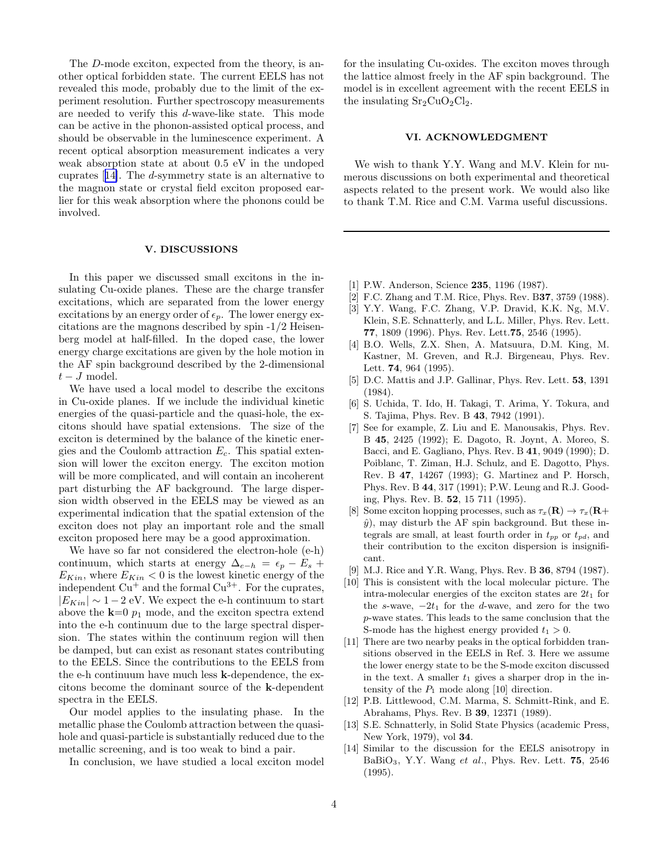<span id="page-3-0"></span>The D-mode exciton, expected from the theory, is another optical forbidden state. The current EELS has not revealed this mode, probably due to the limit of the experiment resolution. Further spectroscopy measurements are needed to verify this d-wave-like state. This mode can be active in the phonon-assisted optical process, and should be observable in the luminescence experiment. A recent optical absorption measurement indicates a very weak absorption state at about 0.5 eV in the undoped cuprates [14]. The d-symmetry state is an alternative to the magnon state or crystal field exciton proposed earlier for this weak absorption where the phonons could be involved.

# V. DISCUSSIONS

In this paper we discussed small excitons in the insulating Cu-oxide planes. These are the charge transfer excitations, which are separated from the lower energy excitations by an energy order of  $\epsilon_p$ . The lower energy excitations are the magnons described by spin -1/2 Heisenberg model at half-filled. In the doped case, the lower energy charge excitations are given by the hole motion in the AF spin background described by the 2-dimensional  $t-J$  model.

We have used a local model to describe the excitons in Cu-oxide planes. If we include the individual kinetic energies of the quasi-particle and the quasi-hole, the excitons should have spatial extensions. The size of the exciton is determined by the balance of the kinetic energies and the Coulomb attraction  $E_c$ . This spatial extension will lower the exciton energy. The exciton motion will be more complicated, and will contain an incoherent part disturbing the AF background. The large dispersion width observed in the EELS may be viewed as an experimental indication that the spatial extension of the exciton does not play an important role and the small exciton proposed here may be a good approximation.

We have so far not considered the electron-hole (e-h) continuum, which starts at energy  $\Delta_{e-h} = \epsilon_p - E_s +$  $E_{Kin}$ , where  $E_{Kin} < 0$  is the lowest kinetic energy of the independent  $Cu^+$  and the formal  $Cu^{3+}$ . For the cuprates,  $|E_{Kin}| \sim 1-2$  eV. We expect the e-h continuum to start above the  $k=0$   $p_1$  mode, and the exciton spectra extend into the e-h continuum due to the large spectral dispersion. The states within the continuum region will then be damped, but can exist as resonant states contributing to the EELS. Since the contributions to the EELS from the e-h continuum have much less k-dependence, the excitons become the dominant source of the k-dependent spectra in the EELS.

Our model applies to the insulating phase. In the metallic phase the Coulomb attraction between the quasihole and quasi-particle is substantially reduced due to the metallic screening, and is too weak to bind a pair.

In conclusion, we have studied a local exciton model

for the insulating Cu-oxides. The exciton moves through the lattice almost freely in the AF spin background. The model is in excellent agreement with the recent EELS in the insulating  $Sr<sub>2</sub>CuO<sub>2</sub>Cl<sub>2</sub>$ .

## VI. ACKNOWLEDGMENT

We wish to thank Y.Y. Wang and M.V. Klein for numerous discussions on both experimental and theoretical aspects related to the present work. We would also like to thank T.M. Rice and C.M. Varma useful discussions.

- [1] P.W. Anderson, Science **235**, 1196 (1987).
- [2] F.C. Zhang and T.M. Rice, Phys. Rev. B37, 3759 (1988).
- [3] Y.Y. Wang, F.C. Zhang, V.P. Dravid, K.K. Ng, M.V. Klein, S.E. Schnatterly, and L.L. Miller, Phys. Rev. Lett. 77, 1809 (1996). Phys. Rev. Lett.75, 2546 (1995).
- [4] B.O. Wells, Z.X. Shen, A. Matsuura, D.M. King, M. Kastner, M. Greven, and R.J. Birgeneau, Phys. Rev. Lett. 74, 964 (1995).
- [5] D.C. Mattis and J.P. Gallinar, Phys. Rev. Lett. **53**, 1391 (1984).
- [6] S. Uchida, T. Ido, H. Takagi, T. Arima, Y. Tokura, and S. Tajima, Phys. Rev. B 43, 7942 (1991).
- [7] See for example, Z. Liu and E. Manousakis, Phys. Rev. B 45, 2425 (1992); E. Dagoto, R. Joynt, A. Moreo, S. Bacci, and E. Gagliano, Phys. Rev. B 41, 9049 (1990); D. Poiblanc, T. Ziman, H.J. Schulz, and E. Dagotto, Phys. Rev. B 47, 14267 (1993); G. Martinez and P. Horsch, Phys. Rev. B 44, 317 (1991); P.W. Leung and R.J. Gooding, Phys. Rev. B. 52, 15 711 (1995).
- [8] Some exciton hopping processes, such as  $\tau_x(\mathbf{R}) \to \tau_x(\mathbf{R}+)$  $\hat{y}$ ), may disturb the AF spin background. But these integrals are small, at least fourth order in  $t_{pp}$  or  $t_{pd}$ , and their contribution to the exciton dispersion is insignificant.
- [9] M.J. Rice and Y.R. Wang, Phys. Rev. B 36, 8794 (1987).
- [10] This is consistent with the local molecular picture. The intra-molecular energies of the exciton states are  $2t_1$  for the s-wave,  $-2t_1$  for the d-wave, and zero for the two p-wave states. This leads to the same conclusion that the S-mode has the highest energy provided  $t_1 > 0$ .
- [11] There are two nearby peaks in the optical forbidden transitions observed in the EELS in Ref. 3. Here we assume the lower energy state to be the S-mode exciton discussed in the text. A smaller  $t_1$  gives a sharper drop in the intensity of the  $P_1$  mode along [10] direction.
- [12] P.B. Littlewood, C.M. Marma, S. Schmitt-Rink, and E. Abrahams, Phys. Rev. B 39, 12371 (1989).
- [13] S.E. Schnatterly, in Solid State Physics (academic Press, New York, 1979), vol 34.
- [14] Similar to the discussion for the EELS anisotropy in BaBiO<sub>3</sub>, Y.Y. Wang et al., Phys. Rev. Lett.  $75, 2546$ (1995).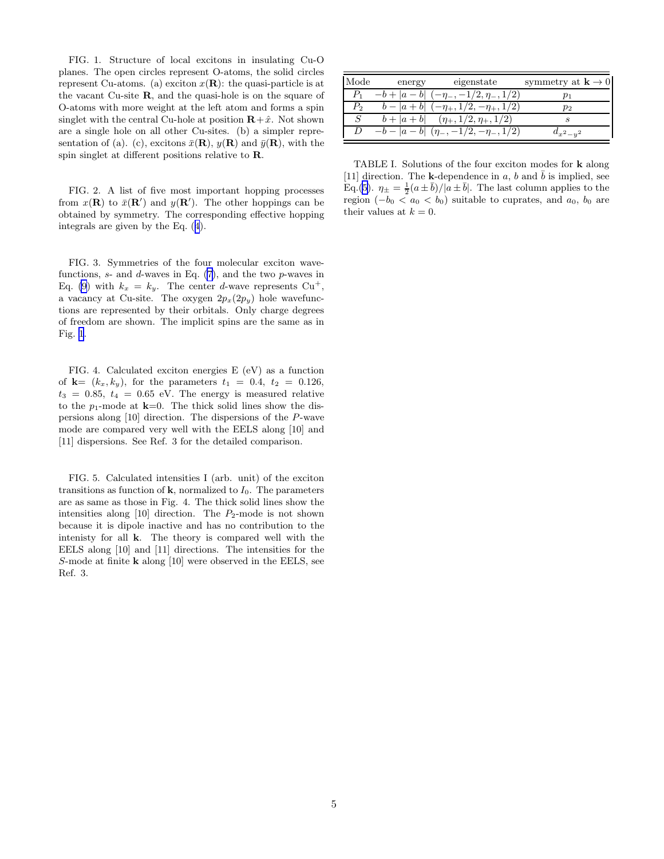<span id="page-4-0"></span>FIG. 1. Structure of local excitons in insulating Cu-O planes. The open circles represent O-atoms, the solid circles represent Cu-atoms. (a) exciton  $x(\mathbf{R})$ : the quasi-particle is at the vacant Cu-site R, and the quasi-hole is on the square of O-atoms with more weight at the left atom and forms a spin singlet with the central Cu-hole at position  $\mathbf{R} + \hat{x}$ . Not shown are a single hole on all other Cu-sites. (b) a simpler representation of (a). (c), excitons  $\bar{x}(\mathbf{R}), y(\mathbf{R})$  and  $\bar{y}(\mathbf{R}),$  with the spin singlet at different positions relative to R.

FIG. 2. A list of five most important hopping processes from  $x(\mathbf{R})$  to  $\bar{x}(\mathbf{R}')$  and  $y(\mathbf{R}')$ . The other hoppings can be obtained by symmetry. The corresponding effective hopping integrals are given by the Eq.([4](#page-1-0)).

FIG. 3. Symmetries of the four molecular exciton wavefunctions,  $s$ - and  $d$ -waves in Eq. [\(7\)](#page-2-0), and the two  $p$ -waves in Eq. [\(9](#page-2-0)) with  $k_x = k_y$ . The center *d*-wave represents Cu<sup>+</sup>, a vacancy at Cu-site. The oxygen  $2p_x(2p_y)$  hole wavefunctions are represented by their orbitals. Only charge degrees of freedom are shown. The implicit spins are the same as in Fig. 1.

FIG. 4. Calculated exciton energies E (eV) as a function of  $k = (k_x, k_y)$ , for the parameters  $t_1 = 0.4, t_2 = 0.126$ ,  $t_3 = 0.85, t_4 = 0.65$  eV. The energy is measured relative to the  $p_1$ -mode at  $k=0$ . The thick solid lines show the dispersions along [10] direction. The dispersions of the P-wave mode are compared very well with the EELS along [10] and [11] dispersions. See Ref. 3 for the detailed comparison.

FIG. 5. Calculated intensities I (arb. unit) of the exciton transitions as function of  $k$ , normalized to  $I_0$ . The parameters are as same as those in Fig. 4. The thick solid lines show the intensities along  $[10]$  direction. The  $P_2$ -mode is not shown because it is dipole inactive and has no contribution to the intenisty for all k. The theory is compared well with the EELS along [10] and [11] directions. The intensities for the S-mode at finite k along [10] were observed in the EELS, see Ref. 3.

| Mode    | energy | eigenstate                                            | symmetry at $\mathbf{k} \to 0$ |
|---------|--------|-------------------------------------------------------|--------------------------------|
| $P_{1}$ |        | $-b+ a-b $ $(-\eta_-,-1/2,\eta_-,1/2)$                |                                |
| $P_{2}$ |        | $b- a+b $ $(-\eta_+, 1/2, -\eta_+, 1/2)$              | $p_2$                          |
| S       |        | $b+ a+b $ $(\eta_+,1/2,\eta_+,1/2)$                   |                                |
|         |        | $D \quad -b- a-b  \quad (\eta_-, -1/2, -\eta_-, 1/2)$ | $d_{x^2-y^2}$                  |

TABLE I. Solutions of the four exciton modes for k along [11] direction. The k-dependence in a, b and  $\bar{b}$  is implied, see Eq.[\(5\)](#page-2-0).  $\eta_{\pm} = \frac{1}{2}(a \pm \bar{b})/|a \pm \bar{b}|$ . The last column applies to the region  $(-b_0 < a_0 < b_0)$  suitable to cuprates, and  $a_0, b_0$  are their values at  $k = 0$ .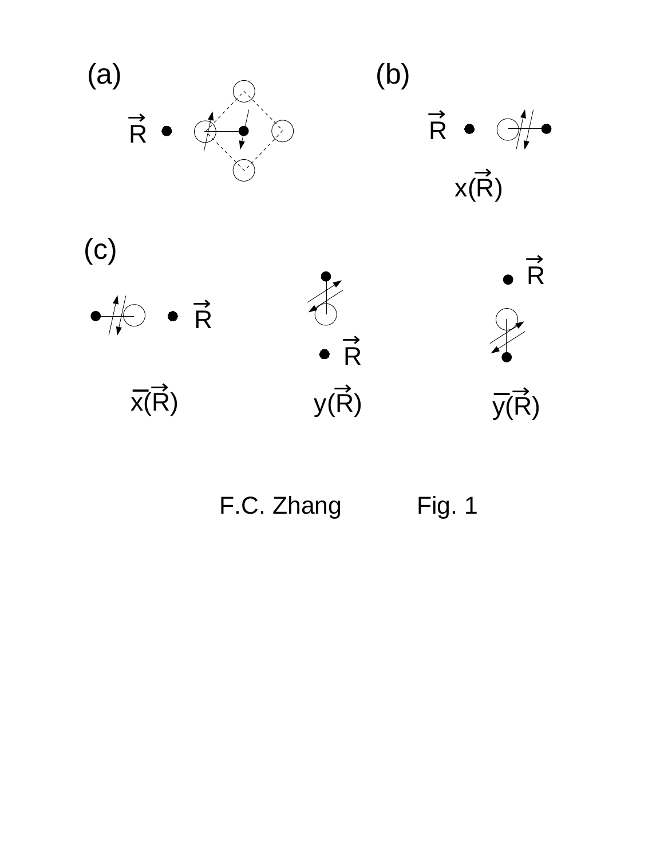





F.C. Zhang Fig. 1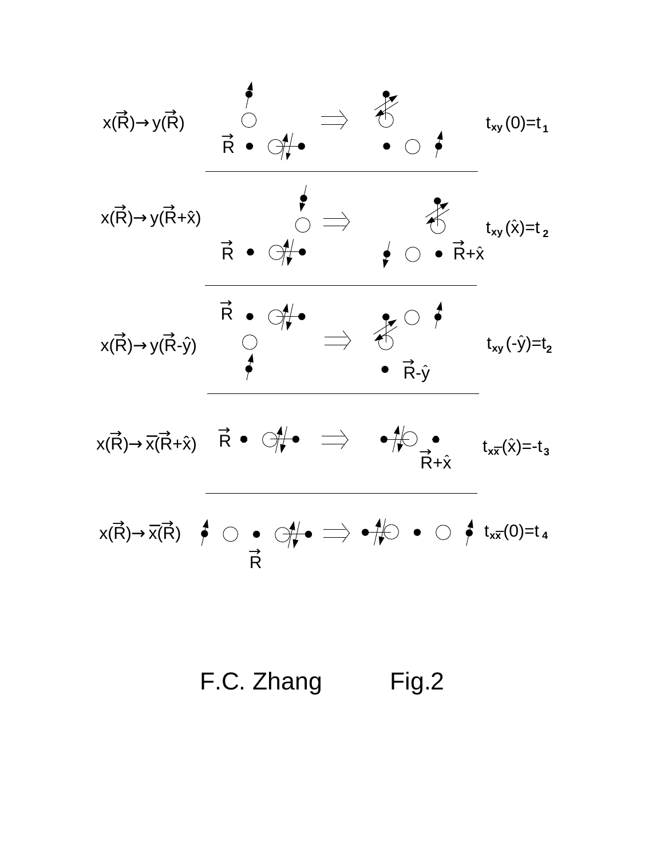

F.C. Zhang Fig.2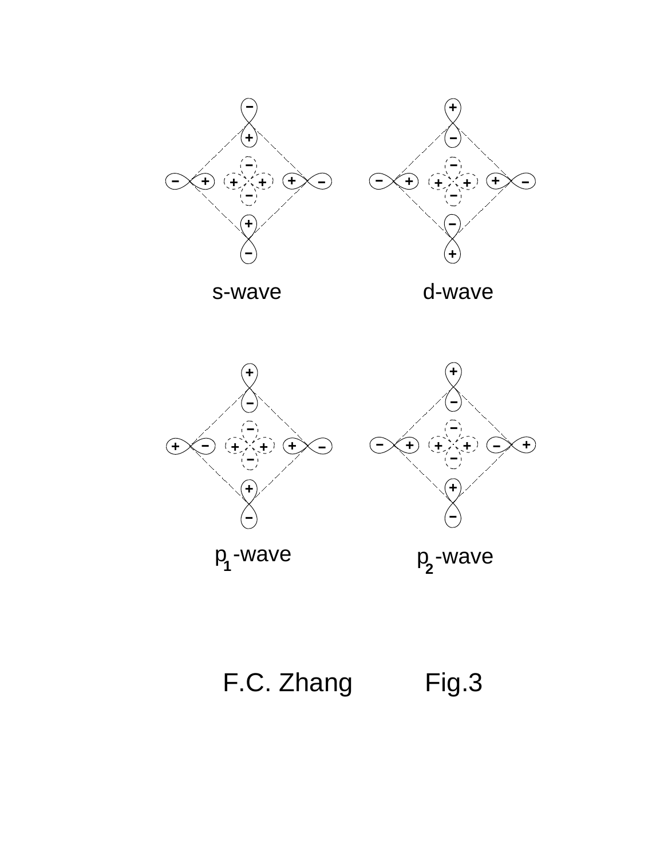

s-wave d-wave

**-**





 $p_1$ -wave

p<sub>2</sub>-wave

F.C. Zhang Fig.3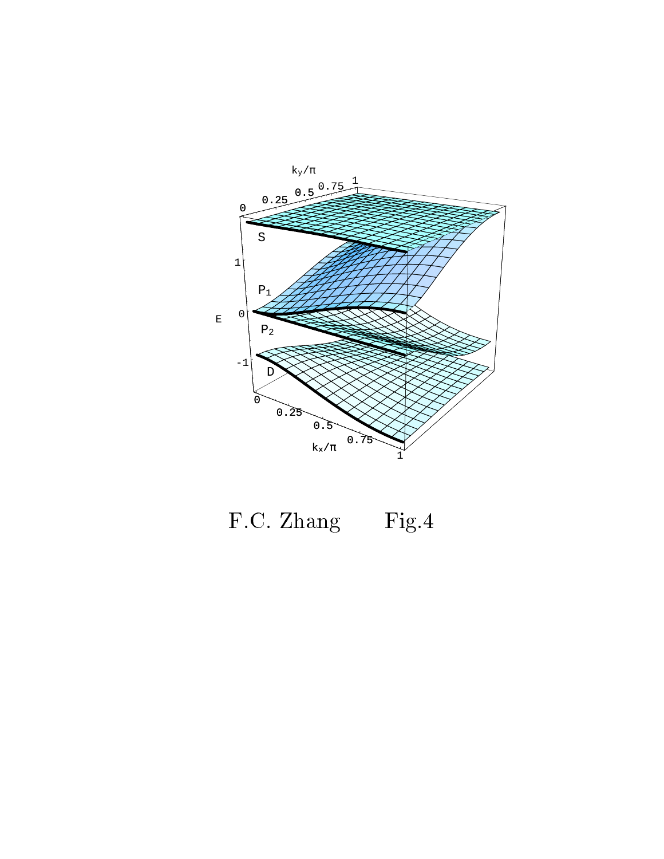

F.C. Zhang Fig.4